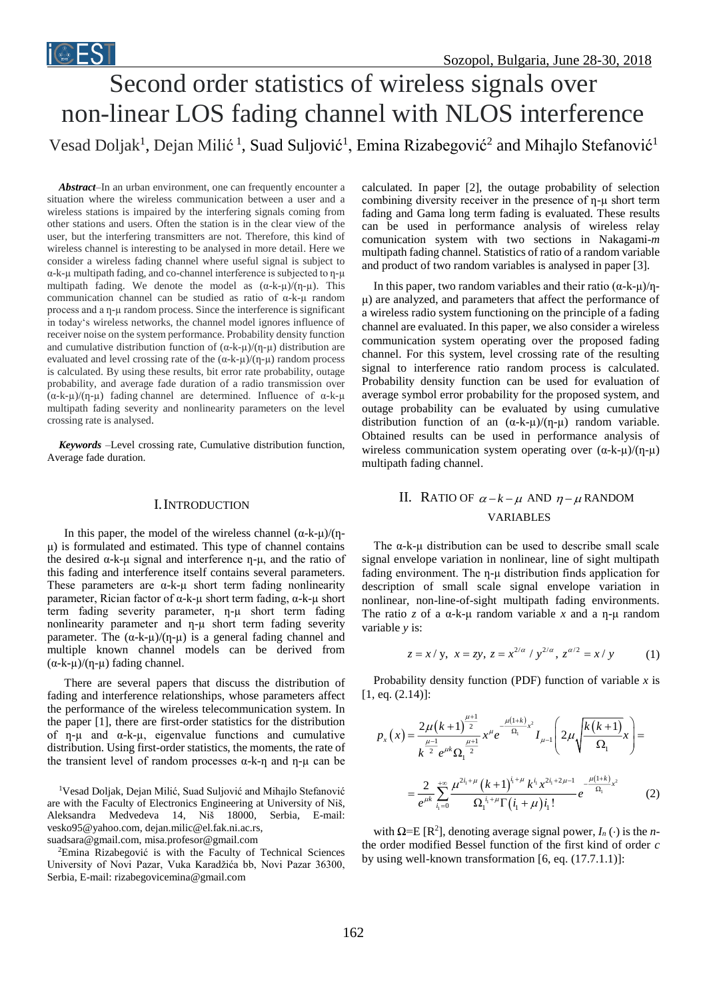# Second order statistics of wireless signals over non-linear LOS fading channel with NLOS interference Vesad Doljak<sup>1</sup>, Dejan Milić<sup>1</sup>, Suad Suljović<sup>1</sup>, Emina Rizabegović<sup>2</sup> and Mihajlo Stefanović<sup>1</sup>

*Abstract–*In an urban environment, one can frequently encounter a situation where the wireless communication between a user and a wireless stations is impaired by the interfering signals coming from other stations and users. Often the station is in the clear view of the user, but the interfering transmitters are not. Therefore, this kind of wireless channel is interesting to be analysed in more detail. Here we consider a wireless fading channel where useful signal is subject to  $\alpha$ -k- $\mu$  multipath fading, and co-channel interference is subjected to  $\eta$ - $\mu$ multipath fading. We denote the model as  $(\alpha-k-\mu)/(\eta-\mu)$ . This communication channel can be studied as ratio of α-k-µ random process and a  $\eta$ -µ random process. Since the interference is significant in today's wireless networks, the channel model ignores influence of receiver noise on the system performance. Probability density function and cumulative distribution function of  $(\alpha-k-\mu)/(\eta-\mu)$  distribution are evaluated and level crossing rate of the  $(\alpha-k-\mu)/(\eta-\mu)$  random process is calculated. By using these results, bit error rate probability, outage probability, and average fade duration of a radio transmission over  $(\alpha-k-\mu)/(\eta-\mu)$  fading channel are determined. Influence of  $\alpha-k-\mu$ multipath fading severity and nonlinearity parameters on the level crossing rate is analysed.

*Keywords –*Level crossing rate, Cumulative distribution function, Average fade duration.

## I.INTRODUCTION

In this paper, the model of the wireless channel  $(\alpha - k - \mu)/(\eta - \mu)$ μ) is formulated and estimated. This type of channel contains the desired  $α$ -k-μ signal and interference η-μ, and the ratio of this fading and interference itself contains several parameters. These parameters are  $\alpha$ -k- $\mu$  short term fading nonlinearity parameter, Rician factor of α-k-µ short term fading, α-k-µ short term fading severity parameter, n-u short term fading nonlinearity parameter and ƞ-µ short term fading severity parameter. The  $(\alpha-k-\mu)/(\eta-\mu)$  is a general fading channel and multiple known channel models can be derived from  $(\alpha-k-\mu)/(\eta-\mu)$  fading channel.

There are several papers that discuss the distribution of fading and interference relationships, whose parameters affect the performance of the wireless telecommunication system. In the paper [1], there are first-order statistics for the distribution of  $\eta$ - $\mu$  and  $\alpha$ -k- $\mu$ , eigenvalue functions and cumulative distribution. Using first-order statistics, the moments, the rate of the transient level of random processes  $α$ -k-η and η-μ can be

<sup>1</sup>Vesad Doljak, Dejan Milić, Suad Suljović and Mihajlo Stefanović are with the Faculty of Electronics Engineering at University of Niš, Aleksandra Medvedeva 14, Niš 18000, Serbia, E-mail: [vesko95@yahoo.com,](mailto:vesko95@yahoo.com) [dejan.milic@el.fak.ni.ac.rs,](mailto:dejan.milic@el.fak.ni.ac.rs)

[suadsara@gmail.com,](mailto:suadsara@gmail.com) misa.profesor@gmail.com

<sup>2</sup>Emina Rizabegović is with the Faculty of Technical Sciences University of Novi Pazar, Vuka Karadžića bb, Novi Pazar 36300, Serbia, E-mail: [rizabegovicemina@gmail.com](mailto:aladin.tokalic@gmail.com)

calculated. In paper [2], the outage probability of selection combining diversity receiver in the presence of  $\eta$ - $\mu$  short term fading and Gama long term fading is evaluated. These results can be used in performance analysis of wireless relay comunication system with two sections in Nakagami-*m* multipath fading channel. Statistics of ratio of a random variable and product of two random variables is analysed in paper [3].

In this paper, two random variables and their ratio  $(\alpha - k - \mu)/\eta$ μ) are analyzed, and parameters that affect the performance of a wireless radio system functioning on the principle of a fading channel are evaluated. In this paper, we also consider a wireless communication system operating over the proposed fading channel. For this system, level crossing rate of the resulting signal to interference ratio random process is calculated. Probability density function can be used for evaluation of average symbol error probability for the proposed system, and outage probability can be evaluated by using cumulative distribution function of an  $(\alpha-k-\mu)/(\eta-\mu)$  random variable. Obtained results can be used in performance analysis of wireless communication system operating over  $(\alpha-k-\mu)/(\eta-\mu)$ multipath fading channel.

## II. RATIO OF  $\alpha - k - \mu$  AND  $\eta - \mu$  RANDOM VARIABLES

The  $\alpha$ -k- $\mu$  distribution can be used to describe small scale signal envelope variation in nonlinear, line of sight multipath fading environment. The ƞ-μ distribution finds application for description of small scale signal envelope variation in nonlinear, non-line-of-sight multipath fading environments. The ratio *z* of a  $\alpha$ -k- $\mu$  random variable *x* and a  $\eta$ - $\mu$  random variable *y* is:

$$
z = x/y
$$
,  $x = zy$ ,  $z = x^{2/\alpha}/y^{2/\alpha}$ ,  $z^{\alpha/2} = x/y$  (1)

Probability density function (PDF) function of variable  $x$  is [1, eq.  $(2.14)$ ]:

$$
p_{x}(x) = \frac{2\mu(k+1)^{\frac{\mu+1}{2}}}{k^{\frac{\mu-1}{2}}e^{\mu k}\Omega_{1}^{\frac{\mu+1}{2}}}x^{\mu}e^{-\frac{\mu(1+k)}{\Omega_{1}}x}I_{\mu-1}\left(2\mu\sqrt{\frac{k(k+1)}{\Omega_{1}}}x\right) =
$$

$$
= \frac{2}{e^{\mu k}}\sum_{i_{1}=0}^{+\infty}\frac{\mu^{2i_{1}+\mu}(k+1)^{i_{1}+\mu}k^{i_{1}}x^{2i_{1}+2\mu-1}}{\Omega_{1}^{i_{1}+\mu}\Gamma(i_{1}+\mu)i_{1}!}e^{-\frac{\mu(1+k)}{\Omega_{1}}x^{2}}
$$
(2)

with  $\Omega = E[R^2]$ , denoting average signal power,  $I_n(\cdot)$  is the *n*the order modified Bessel function of the first kind of order *c*  by using well-known transformation [6, eq. (17.7.1.1)]: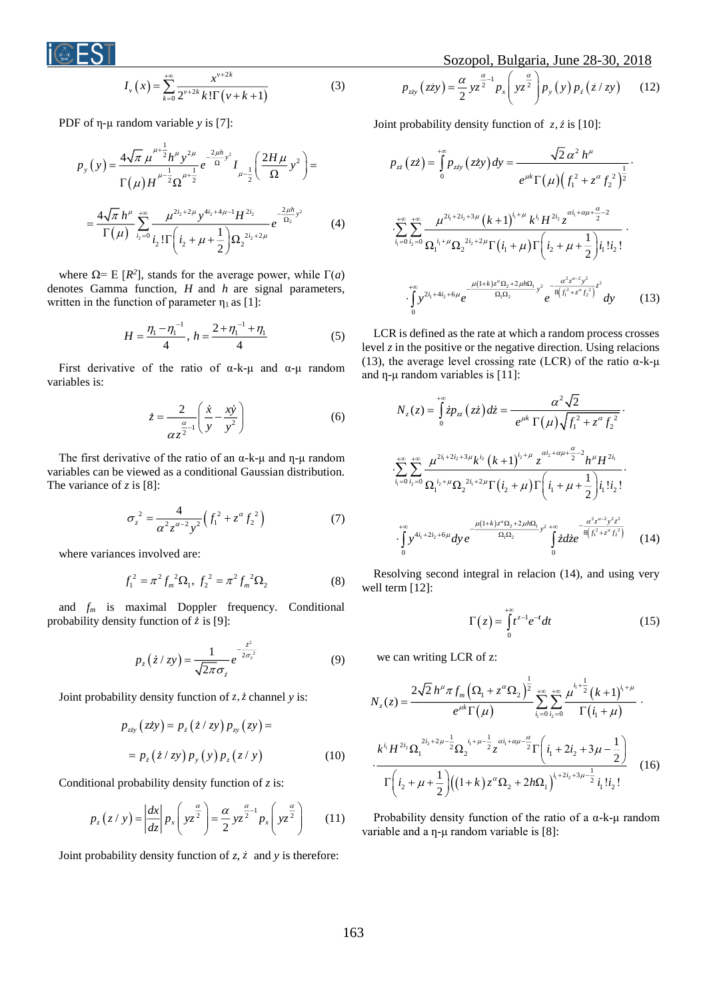$$
I_{\nu}\left(x\right) = \sum_{k=0}^{+\infty} \frac{x^{\nu+2k}}{2^{\nu+2k}k!\,\Gamma\left(\nu+k+1\right)}\tag{3}
$$

PDF of η-µ random variable *y* is [7]:

$$
p_{y}(y) = \frac{4\sqrt{\pi} \mu^{\mu + \frac{1}{2}} h^{\mu} y^{2\mu}}{\Gamma(\mu) H^{\mu - \frac{1}{2}} \Omega^{\mu + \frac{1}{2}}} e^{-\frac{2\mu h}{\Omega} y^{2}} I_{\mu - \frac{1}{2}} \left( \frac{2H\mu}{\Omega} y^{2} \right) =
$$
  

$$
= \frac{4\sqrt{\pi} h^{\mu}}{\Gamma(\mu)} \sum_{i_{2}=0}^{+\infty} \frac{\mu^{2i_{2}+2\mu} y^{4i_{2}+4\mu-1} H^{2i_{2}}}{\Gamma(\mu)} e^{-\frac{2\mu h}{\Omega_{2}} y^{2}}
$$
(4)

where  $\Omega$ = E [ $R$ <sup>2</sup>], stands for the average power, while  $\Gamma(a)$ denotes Gamma function, *H* and *h* are signal parameters, written in the function of parameter  $\eta_1$  as [1]:

$$
H = \frac{\eta_1 - \eta_1^{-1}}{4}, \ h = \frac{2 + \eta_1^{-1} + \eta_1}{4} \tag{5}
$$

First derivative of the ratio of  $\alpha$ -k- $\mu$  and  $\alpha$ - $\mu$  random variables is:

$$
\dot{z} = \frac{2}{\alpha z^{\frac{\alpha}{2}-1}} \left( \frac{\dot{x}}{y} - \frac{x\dot{y}}{y^2} \right)
$$
(6)

The first derivative of the ratio of an  $\alpha$ -k- $\mu$  and  $\eta$ - $\mu$  random variables can be viewed as a conditional Gaussian distribution. The variance of *z* is [8]:

$$
\sigma_z^2 = \frac{4}{\alpha^2 z^{\alpha - 2} y^2} \Big( f_1^2 + z^{\alpha} f_2^2 \Big) \tag{7}
$$

where variances involved are:

$$
f_1^2 = \pi^2 f_m^2 \Omega_1, f_2^2 = \pi^2 f_m^2 \Omega_2 \tag{8}
$$

and *f<sup>m</sup>* is maximal Doppler frequency. Conditional probability density function of  $\dot{z}$  is [9]:

$$
p_z(z/zy) = \frac{1}{\sqrt{2\pi}\sigma_z} e^{-\frac{z^2}{2\sigma_z^2}}
$$
(9)

Joint probability density function of z, *z* channel *y* is:

$$
p_{zxy} (z\dot{z}y) = p_z (\dot{z}/zy) p_{xy} (zy) =
$$
  
=  $p_z (\dot{z}/zy) p_y (y) p_z (z/y)$  (10)

Conditional probability density function of *z* is:

$$
p_z(z \mid y) = \left| \frac{dx}{dz} \right| p_x \left( y z^{\frac{\alpha}{2}} \right) = \frac{\alpha}{2} y z^{\frac{\alpha}{2} - 1} p_x \left( y z^{\frac{\alpha}{2}} \right) \tag{11}
$$

Joint probability density function of  $z$ ,  $\dot{z}$  and  $y$  is therefore:

Sozopol, Bulgaria, June 28-30, 2018

$$
p_{zzy}(zzy) = \frac{\alpha}{2} yz^{\frac{\alpha}{2}-1} p_x \left( yz^{\frac{\alpha}{2}} \right) p_y(y) p_z(z/zy) \qquad (12)
$$

Joint probability density function of  $z, \dot{z}$  is [10]:

$$
p_{z\dot{z}}(z\dot{z}) = \int_{0}^{+\infty} p_{z\dot{z}y}(z\dot{z}y) dy = \frac{\sqrt{2} \alpha^2 h^{\mu}}{e^{\mu k} \Gamma(\mu) (f_1^2 + z^{\alpha} f_2^2)^{\frac{1}{2}}}.
$$
  

$$
\sum_{i_1=0}^{+\infty} \sum_{i_2=0}^{+\infty} \frac{\mu^{2i_1+2i_2+3\mu} (k+1)^{i_1+\mu} k^{i_1} H^{2i_2} z^{\alpha i_1+\alpha\mu+\frac{\alpha}{2}-2}}{\Omega_1^{i_1+\mu} \Omega_2^{2i_2+2\mu} \Gamma(i_1+\mu) \Gamma(i_2+\mu+\frac{1}{2}) i_1! i_2!}.
$$
  

$$
\int_{0}^{+\infty} y^{2i_1+4i_2+6\mu} e^{-\frac{\mu(1+k)z^{\alpha} \Omega_2+2\mu k \Omega_1}{\Omega_1 \Omega_2} y^2} e^{-\frac{\alpha^2 z^{\alpha-2} y^2}{8 (f_1^2+z^{\alpha} f_2^2)} z^2} dy
$$
(13)

LCR is defined as the rate at which a random process crosses level  $z$  in the positive or the negative direction. Using relacions (13), the average level crossing rate (LCR) of the ratio  $\alpha$ -k- $\mu$ and  $\eta$ - $\mu$  random variables is [11]:

$$
N_{z}(z) = \int_{0}^{+\infty} \dot{z}p_{z\dot{z}}(z\dot{z})dz = \frac{\alpha^{2}\sqrt{2}}{e^{\mu k}\Gamma(\mu)\sqrt{f_{1}^{2} + z^{\alpha}f_{2}^{2}}}.
$$
  

$$
\int_{i_{1}=0}^{+\infty} \int_{i_{2}=0}^{+\infty} \frac{\mu^{2i_{1}+2i_{2}+3\mu}k^{i_{2}}(k+1)^{i_{2}+\mu}z^{ai_{2}+a\mu+\frac{\alpha}{2}-2}h^{\mu}H^{2i_{1}}}{\Omega_{1}^{i_{2}+\mu}\Omega_{2}^{2i_{1}+2\mu}\Gamma(i_{2}+\mu)\Gamma(i_{1}+\mu+\frac{1}{2})i_{1}!i_{2}!}.
$$
  

$$
\int_{0}^{+\infty} y^{4i_{1}+2i_{2}+6\mu}dy e^{-\frac{\mu(1+k)z^{\alpha}\Omega_{2}+2\mu h\Omega_{1}}{\Omega_{1}\Omega_{2}}y^{2}+ \int_{0}^{+\infty} zdz e^{-\frac{\alpha^{2}z^{\alpha-2}y^{2}z^{2}}{8(f_{1}^{2}+z^{\alpha}f_{2}^{2})}} \qquad (14)
$$

Resolving second integral in relacion (14), and using very well term [12]:

$$
\Gamma(z) = \int_{0}^{+\infty} t^{z-1} e^{-t} dt
$$
 (15)

we can writing LCR of z:

$$
N_{z}(z) = \frac{2\sqrt{2}h^{\mu}\pi f_{m}\left(\Omega_{1} + z^{\alpha}\Omega_{2}\right)^{\frac{1}{2}}}{e^{\mu k}\Gamma(\mu)} \sum_{i_{1}=0}^{+\infty} \sum_{i_{2}=0}^{+\infty} \frac{\mu^{i_{1}+\frac{1}{2}}(k+1)^{i_{1}+\mu}}{\Gamma(i_{1}+\mu)}.
$$

$$
\frac{k^{i_{1}}H^{2i_{2}}\Omega_{1}^{2i_{2}+2\mu-\frac{1}{2}}\Omega_{2}^{i_{1}+\mu-\frac{1}{2}}z^{\alpha i_{1}+\alpha\mu-\frac{\alpha}{2}}\Gamma(i_{1}+2i_{2}+3\mu-\frac{1}{2})}{\Gamma(i_{2}+\mu+\frac{1}{2})((1+k)z^{\alpha}\Omega_{2}+2h\Omega_{1})^{i_{1}+2i_{2}+3\mu-\frac{1}{2}}i_{1}i_{2}!}
$$
(16)

Probability density function of the ratio of a α-k-μ random variable and a  $\eta$ -µ random variable is [8]: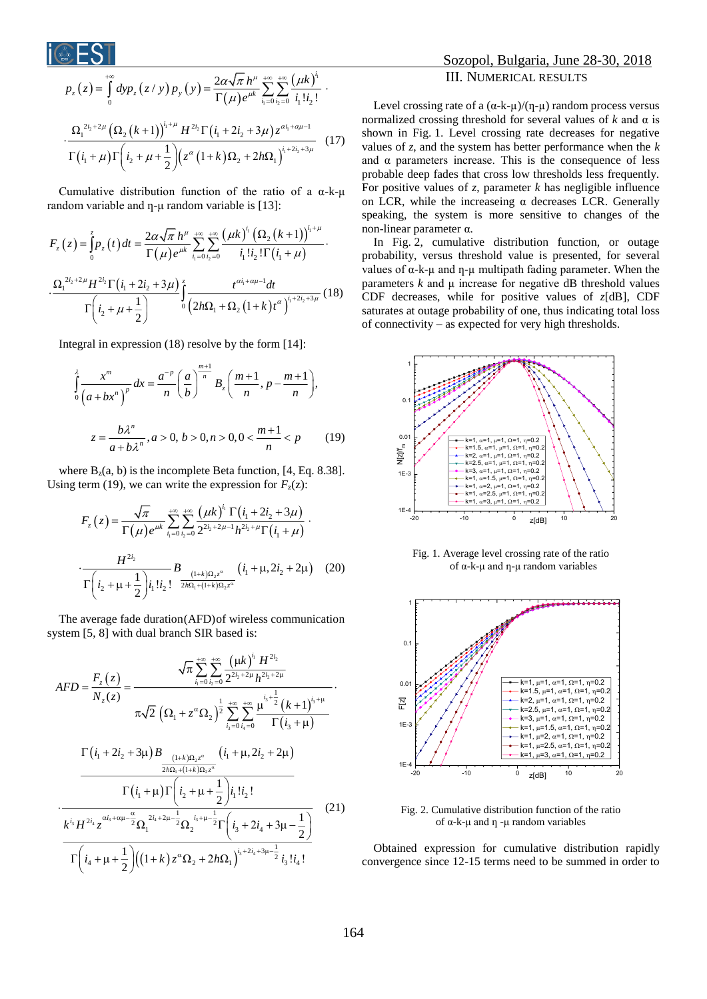$$
p_{z}(z) = \int_{0}^{+\infty} dy p_{z}(z/y) p_{y}(y) = \frac{2\alpha\sqrt{\pi} h^{\mu}}{\Gamma(\mu)e^{\mu k}} \sum_{i_{1}=0}^{+\infty} \sum_{i_{2}=0}^{+\infty} \frac{(\mu k)^{i_{1}}}{i_{1}!i_{2}!}.
$$

$$
\cdot \frac{\Omega_{1}^{2i_{2}+2\mu} (\Omega_{2}(k+1))^{i_{1}+\mu} H^{2i_{2}} \Gamma(i_{1}+2i_{2}+3\mu) z^{\alpha i_{1}+\alpha\mu-1}}{\Gamma(i_{1}+\mu)\Gamma(i_{2}+\mu+\frac{1}{2})(z^{\alpha}(1+k)\Omega_{2}+2h\Omega_{1})^{i_{1}+2i_{2}+3\mu}}
$$
(17)

Cumulative distribution function of the ratio of a α-k-μ random variable and  $\eta$ -µ random variable is [13]:

$$
F_z(z) = \int_0^z p_z(t) dt = \frac{2\alpha \sqrt{\pi} h^{\mu}}{\Gamma(\mu) e^{\mu k}} \sum_{i_1=0}^{+\infty} \sum_{i_2=0}^{+\infty} \frac{(\mu k)^{i_1} (\Omega_2 (k+1))^{i_1+\mu}}{i_1! i_2! \Gamma(i_1+\mu)}.
$$

$$
\cdot \frac{\Omega_1^{2i_2+2\mu} H^{2i_2} \Gamma(i_1+2i_2+3\mu)}{\Gamma(i_2+\mu+\frac{1}{2})} \int_0^z \frac{t^{\alpha i_1+\alpha\mu-1} dt}{(2h\Omega_1+\Omega_2 (1+k)t^{\alpha})^{i_1+2i_2+3\mu}} (18)
$$

Integral in expression (18) resolve by the form [14]:

$$
\int_{0}^{\lambda} \frac{x^{m}}{(a+bx^{n})^{p}} dx = \frac{a^{-p}}{n} \left(\frac{a}{b}\right)^{\frac{m+1}{n}} B_{z} \left(\frac{m+1}{n}, p - \frac{m+1}{n}\right),
$$
  

$$
z = \frac{b\lambda^{n}}{a+b\lambda^{n}}, a > 0, b > 0, n > 0, 0 < \frac{m+1}{n} < p
$$
 (19)

where  $B_z(a, b)$  is the incomplete Beta function, [4, Eq. 8.38]. Using term (19), we can write the expression for  $F_z(z)$ :

$$
F_z(z) = \frac{\sqrt{\pi}}{\Gamma(\mu)e^{\mu k}} \sum_{i_1=0}^{+\infty} \sum_{i_2=0}^{+\infty} \frac{(\mu k)^{i_1} \Gamma(i_1 + 2i_2 + 3\mu)}{2^{2i_2 + 2\mu - 1} h^{2i_2 + \mu} \Gamma(i_1 + \mu)} \cdot \frac{H^{2i_2}}{\Gamma(i_2 + \mu + \frac{1}{2})i_1!i_2!} B_{\frac{(1+k)\Omega_z z^{\alpha}}{2h\Omega_z + (1+k)\Omega_z z^{\alpha}}} (i_1 + \mu, 2i_2 + 2\mu) \quad (20)
$$

The average fade duration(AFD)of wireless communication system [5, 8] with dual branch SIR based is:

$$
AFD = \frac{F_z(z)}{N_z(z)} = \frac{\sqrt{\pi} \sum_{i_1=0}^{+\infty} \sum_{i_2=0}^{+\infty} \frac{(\mu k)^{i_1} H^{2i_2}}{2^{2i_2+2\mu} h^{2i_2+2\mu}}}{\pi \sqrt{2} (\Omega_1 + z^{\alpha} \Omega_2)^{\frac{1}{2}} \sum_{i_3=0}^{+\infty} \sum_{i_4=0}^{i_4+\frac{1}{2}} \frac{(\mu + 1)^{i_3+\mu}}{\Gamma(i_3+\mu)}}{\Gamma(i_3+\mu)}
$$

$$
\frac{\Gamma(i_1 + 2i_2 + 3\mu) B_{(1+k)\Omega_2 z^{\alpha}}}{\frac{(\mu + k)\Omega_2 z^{\alpha}}{2\hbar\Omega_1 + (\mu + k)\Omega_2 z^{\alpha}}} (i_1 + \mu, 2i_2 + 2\mu)
$$

$$
\frac{\Gamma(i_1 + \mu) \Gamma(i_2 + \mu + \frac{1}{2}) i_1! i_2!}{\Gamma(i_3 + 2i_4 + 3\mu - \frac{1}{2})}
$$
(21)
$$
\frac{k^{i_3} H^{2i_4} z^{\frac{\alpha i_3 + \alpha \mu - \frac{\alpha}{2}}{2\Omega_1} \Omega_1^{2i_4+2\mu - \frac{1}{2}} \Omega_2^{i_3+\mu - \frac{1}{2}} \Gamma(i_3 + 2i_4 + 3\mu - \frac{1}{2})}{\Gamma(i_4 + \mu + \frac{1}{2}) ((1+k) z^{\alpha} \Omega_2 + 2h\Omega_1)^{i_3+2i_4+3\mu - \frac{1}{2}} i_3! i_4!}
$$

## Sozopol, Bulgaria, June 28-30, 2018 III. NUMERICAL RESULTS

Level crossing rate of a  $(\alpha-k-\mu)/(\eta-\mu)$  random process versus normalized crossing threshold for several values of *k* and α is shown in Fig. 1. Level crossing rate decreases for negative values of *z*, and the system has better performance when the *k* and  $\alpha$  parameters increase. This is the consequence of less probable deep fades that cross low thresholds less frequently. For positive values of *z*, parameter *k* has negligible influence on LCR, while the increaseing  $\alpha$  decreases LCR. Generally speaking, the system is more sensitive to changes of the non-linear parameter α.

In Fig. 2, cumulative distribution function, or outage probability, versus threshold value is presented, for several values of  $\alpha$ -k- $\mu$  and  $\eta$ - $\mu$  multipath fading parameter. When the parameters  $k$  and  $\mu$  increase for negative dB threshold values CDF decreases, while for positive values of *z*[dB], CDF saturates at outage probability of one, thus indicating total loss of connectivity – as expected for very high thresholds.



Fig. 1. Average level crossing rate of the ratio of  $α$ -k-μ and η-μ random variables



Fig. 2. Cumulative distribution function of the ratio of α-k-μ and ƞ -μ random variables

Obtained expression for cumulative distribution rapidly convergence since 12-15 terms need to be summed in order to